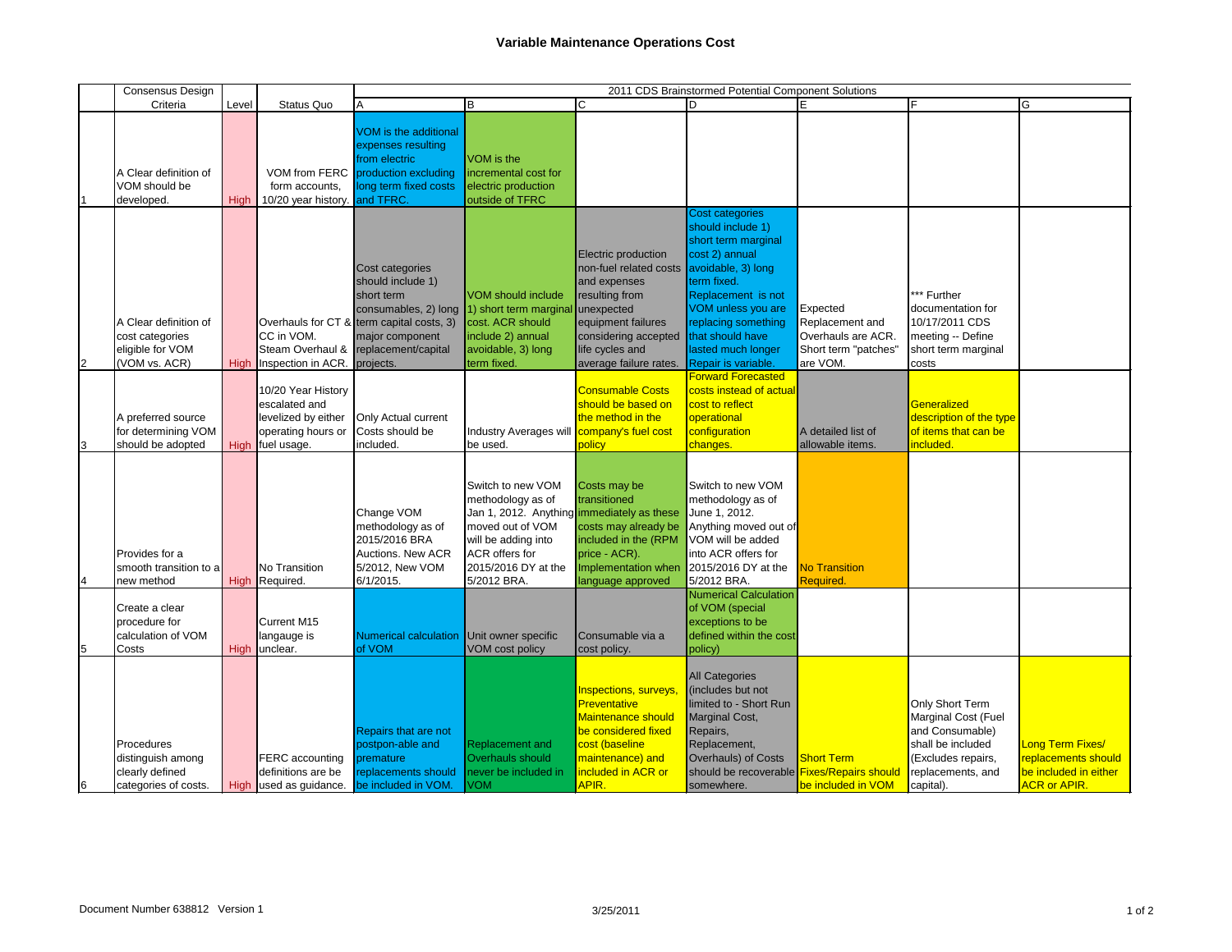|                                  | <b>Consensus Design</b>                                                                                                    |             |                                                                                                 | 2011 CDS Brainstormed Potential Component Solutions                                                                                                                            |                                                                                                                                                                                                                                           |                                                                                                                                                                             |                                                                                                                                                                                                                                                                                                                   |                                                                                       |                                                                                                                                        |    |
|----------------------------------|----------------------------------------------------------------------------------------------------------------------------|-------------|-------------------------------------------------------------------------------------------------|--------------------------------------------------------------------------------------------------------------------------------------------------------------------------------|-------------------------------------------------------------------------------------------------------------------------------------------------------------------------------------------------------------------------------------------|-----------------------------------------------------------------------------------------------------------------------------------------------------------------------------|-------------------------------------------------------------------------------------------------------------------------------------------------------------------------------------------------------------------------------------------------------------------------------------------------------------------|---------------------------------------------------------------------------------------|----------------------------------------------------------------------------------------------------------------------------------------|----|
|                                  | Criteria                                                                                                                   | Level       | Status Quo                                                                                      | A                                                                                                                                                                              | lΒ                                                                                                                                                                                                                                        | C                                                                                                                                                                           | D                                                                                                                                                                                                                                                                                                                 |                                                                                       | ΙF                                                                                                                                     | lG |
|                                  | A Clear definition of<br>VOM should be<br>developed.                                                                       | High        | form accounts,<br>10/20 year history                                                            | <b>VOM</b> is the additional<br>expenses resulting<br>from electric<br>VOM from FERC production excluding<br>long term fixed costs<br>and TFRC.                                | VOM is the<br>incremental cost for<br>electric production<br>outside of TFRC                                                                                                                                                              |                                                                                                                                                                             |                                                                                                                                                                                                                                                                                                                   |                                                                                       |                                                                                                                                        |    |
| $\overline{2}$                   | A Clear definition of<br>cost categories<br>eligible for VOM<br>(VOM vs. ACR)                                              | High        | CC in VOM.<br>Steam Overhaul &<br>Inspection in ACR.                                            | Cost categories<br>should include 1)<br>short term<br>consumables, 2) long<br>Overhauls for CT & term capital costs, 3)<br>major component<br>replacement/capital<br>projects. | VOM should include<br>1) short term marginal unexpected<br>cost. ACR should<br>include 2) annual<br>avoidable, 3) long<br>term fixed.                                                                                                     | Electric production<br>non-fuel related costs<br>and expenses<br>resulting from<br>equipment failures<br>considering accepted<br>life cycles and<br>average failure rates.  | Cost categories<br>should include 1)<br>short term marginal<br>cost 2) annual<br>avoidable, 3) long<br>term fixed.<br>Replacement is not<br>VOM unless you are<br>replacing something<br>that should have<br>lasted much longer<br>Repair is variable.                                                            | Expected<br>Replacement and<br>Overhauls are ACR.<br>Short term "patches"<br>are VOM. | *** Further<br>documentation for<br>10/17/2011 CDS<br>meeting -- Define<br>short term marginal<br>costs                                |    |
| 3                                | A preferred source<br>for determining VOM<br>should be adopted                                                             | <b>High</b> | 10/20 Year History<br>escalated and<br>levelized by either<br>operating hours or<br>fuel usage. | <b>Only Actual current</b><br>Costs should be<br>included.                                                                                                                     | Industry Averages will <b>company's fuel cost</b><br>be used.                                                                                                                                                                             | <b>Consumable Costs</b><br>should be based on<br>the method in the<br>policy                                                                                                | <b>Forward Forecasted</b><br>costs instead of actual<br>cost to reflect<br>operational<br>configuration<br>changes.                                                                                                                                                                                               | A detailed list of<br>allowable items.                                                | Generalized<br>description of the type<br>of items that can be<br>included.                                                            |    |
| $\overline{4}$<br>$\overline{5}$ | Provides for a<br>Ismooth transition to al<br>new method<br>Create a clear<br>procedure for<br>calculation of VOM<br>Costs | <b>High</b> | <b>No Transition</b><br>High Required.<br><b>Current M15</b><br>langauge is<br>unclear.         | Change VOM<br>methodology as of<br>2015/2016 BRA<br>Auctions. New ACR<br>5/2012, New VOM<br>6/1/2015.<br>Numerical calculation<br>of VOM                                       | Switch to new VOM<br>methodology as of<br>Jan 1, 2012. Anything immediately as these<br>moved out of VOM<br>will be adding into<br><b>ACR</b> offers for<br>l2015/2016 DY at the<br>5/2012 BRA.<br>Unit owner specific<br>VOM cost policy | Costs may be<br>transitioned<br>costs may already be<br>included in the (RPM<br>price - ACR).<br>language approved<br>Consumable via a<br>cost policy.                      | Switch to new VOM<br>methodology as of<br>June 1, 2012.<br>Anything moved out of<br>VOM will be added<br>into ACR offers for<br>Implementation when 2015/2016 DY at the No Transition<br>5/2012 BRA.<br><b>Numerical Calculation</b><br>of VOM (special<br>exceptions to be<br>defined within the cost<br>policy) | <b>Required.</b>                                                                      |                                                                                                                                        |    |
| $6\phantom{.}6$                  | Procedures<br>distinguish among<br>clearly defined<br>categories of costs.                                                 | <b>High</b> | FERC accounting<br>definitions are be<br>used as guidance.                                      | <b>Repairs that are not</b><br>postpon-able and<br>premature<br>replacements should<br>be included in VOM.                                                                     | <b>Replacement and</b><br>Overhauls should<br>never be included in<br><b>VOM</b>                                                                                                                                                          | <b>Inspections, surveys</b><br><b>Preventative</b><br><b>Maintenance should</b><br>be considered fixed<br>cost (baseline<br>maintenance) and<br>included in ACR or<br>APIR. | <b>All Categories</b><br>(includes but not<br>limited to - Short Run<br>Marginal Cost,<br>Repairs,<br>Replacement,<br><b>Overhauls) of Costs</b><br>should be recoverable Fixes/Repairs should<br>somewhere.                                                                                                      | <b>Short Term</b><br>be included in VOM                                               | Only Short Term<br>Marginal Cost (Fuel<br>and Consumable)<br>shall be included<br>(Excludes repairs,<br>replacements, and<br>capital). |    |

|                                         | G                                                                                       |
|-----------------------------------------|-----------------------------------------------------------------------------------------|
|                                         |                                                                                         |
| for<br>υS<br>ne<br>ginal                |                                                                                         |
| he type<br><mark>an be</mark>           |                                                                                         |
|                                         |                                                                                         |
|                                         |                                                                                         |
| m<br>(Fuel<br>(plc<br>be<br>irs,<br>and | Long Term Fixes/<br>replacements should<br>be included in either<br><b>ACR or APIR.</b> |